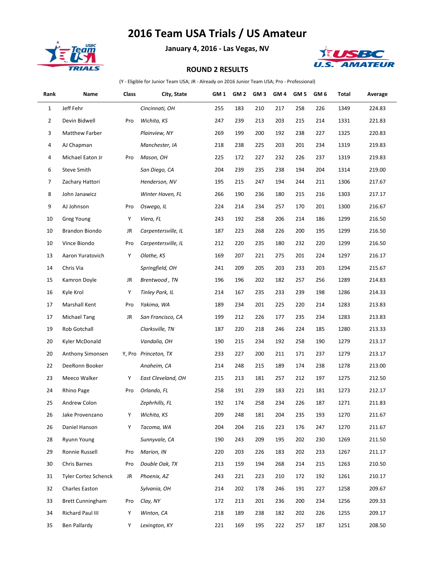## **2016 Team USA Trials / US Amateur**



**January 4, 2016 - Las Vegas, NV**



## **ROUND 2 RESULTS**

(Y - Eligible for Junior Team USA; JR - Already on 2016 Junior Team USA; Pro - Professional)

| Rank           | Name                        | Class | City, State            | GM 1 | GM <sub>2</sub> | GM <sub>3</sub> | GM <sub>4</sub> | GM <sub>5</sub> | GM <sub>6</sub> | Total | Average |
|----------------|-----------------------------|-------|------------------------|------|-----------------|-----------------|-----------------|-----------------|-----------------|-------|---------|
| $\mathbf{1}$   | Jeff Fehr                   |       | Cincinnati, OH         | 255  | 183             | 210             | 217             | 258             | 226             | 1349  | 224.83  |
| $\overline{2}$ | Devin Bidwell               | Pro   | Wichita, KS            | 247  | 239             | 213             | 203             | 215             | 214             | 1331  | 221.83  |
| 3              | Matthew Farber              |       | Plainview, NY          | 269  | 199             | 200             | 192             | 238             | 227             | 1325  | 220.83  |
| 4              | AJ Chapman                  |       | Manchester, IA         | 218  | 238             | 225             | 203             | 201             | 234             | 1319  | 219.83  |
| 4              | Michael Eaton Jr            | Pro   | Mason, OH              | 225  | 172             | 227             | 232             | 226             | 237             | 1319  | 219.83  |
| 6              | <b>Steve Smith</b>          |       | San Diego, CA          | 204  | 239             | 235             | 238             | 194             | 204             | 1314  | 219.00  |
| 7              | Zachary Hattori             |       | Henderson, NV          | 195  | 215             | 247             | 194             | 244             | 211             | 1306  | 217.67  |
| 8              | John Janawicz               |       | Winter Haven, FL       | 266  | 190             | 236             | 180             | 215             | 216             | 1303  | 217.17  |
| 9              | AJ Johnson                  | Pro   | Oswego, IL             | 224  | 214             | 234             | 257             | 170             | 201             | 1300  | 216.67  |
| 10             | Greg Young                  | Υ     | Viera, FL              | 243  | 192             | 258             | 206             | 214             | 186             | 1299  | 216.50  |
| 10             | Brandon Biondo              | JR    | Carpentersville, IL    | 187  | 223             | 268             | 226             | 200             | 195             | 1299  | 216.50  |
| 10             | Vince Biondo                | Pro   | Carpentersville, IL    | 212  | 220             | 235             | 180             | 232             | 220             | 1299  | 216.50  |
| 13             | Aaron Yuratovich            | Y     | Olathe, KS             | 169  | 207             | 221             | 275             | 201             | 224             | 1297  | 216.17  |
| 14             | Chris Via                   |       | Springfield, OH        | 241  | 209             | 205             | 203             | 233             | 203             | 1294  | 215.67  |
| 15             | Kamron Doyle                | JR    | Brentwood, TN          | 196  | 196             | 202             | 182             | 257             | 256             | 1289  | 214.83  |
| 16             | Kyle Krol                   | Υ     | <b>Tinley Park, IL</b> | 214  | 167             | 235             | 233             | 239             | 198             | 1286  | 214.33  |
| 17             | Marshall Kent               | Pro   | Yakima, WA             | 189  | 234             | 201             | 225             | 220             | 214             | 1283  | 213.83  |
| 17             | Michael Tang                | JR    | San Francisco, CA      | 199  | 212             | 226             | 177             | 235             | 234             | 1283  | 213.83  |
| 19             | Rob Gotchall                |       | Clarksville, TN        | 187  | 220             | 218             | 246             | 224             | 185             | 1280  | 213.33  |
| 20             | Kyler McDonald              |       | Vandalia, OH           | 190  | 215             | 234             | 192             | 258             | 190             | 1279  | 213.17  |
| 20             | Anthony Simonsen            |       | Y, Pro Princeton, TX   | 233  | 227             | 200             | 211             | 171             | 237             | 1279  | 213.17  |
| 22             | DeeRonn Booker              |       | Anaheim, CA            | 214  | 248             | 215             | 189             | 174             | 238             | 1278  | 213.00  |
| 23             | Meeco Walker                | Υ     | East Cleveland, OH     | 215  | 213             | 181             | 257             | 212             | 197             | 1275  | 212.50  |
| 24             | Rhino Page                  | Pro   | Orlando, FL            | 258  | 191             | 239             | 183             | 221             | 181             | 1273  | 212.17  |
| 25             | Andrew Colon                |       | Zephrhills, FL         | 192  | 174             | 258             | 234             | 226             | 187             | 1271  | 211.83  |
| 26             | Jake Provenzano             | Υ     | Wichita, KS            | 209  | 248             | 181             | 204             | 235             | 193             | 1270  | 211.67  |
| 26             | Daniel Hanson               | Υ     | Tacoma, WA             | 204  | 204             | 216             | 223             | 176             | 247             | 1270  | 211.67  |
| 28             | <b>Ryunn Young</b>          |       | Sunnyvale, CA          | 190  | 243             | 209             | 195             | 202             | 230             | 1269  | 211.50  |
| 29             | Ronnie Russell              | Pro   | Marion, IN             | 220  | 203             | 226             | 183             | 202             | 233             | 1267  | 211.17  |
| 30             | Chris Barnes                | Pro   | Double Oak, TX         | 213  | 159             | 194             | 268             | 214             | 215             | 1263  | 210.50  |
| 31             | <b>Tyler Cortez Schenck</b> | JR    | Phoenix, AZ            | 243  | 221             | 223             | 210             | 172             | 192             | 1261  | 210.17  |
| 32             | Charles Easton              |       | Sylvania, OH           | 214  | 202             | 178             | 246             | 191             | 227             | 1258  | 209.67  |
| 33             | <b>Brett Cunningham</b>     | Pro   | Clay, NY               | 172  | 213             | 201             | 236             | 200             | 234             | 1256  | 209.33  |
| 34             | Richard Paul III            | Υ     | Winton, CA             | 218  | 189             | 238             | 182             | 202             | 226             | 1255  | 209.17  |
| 35             | Ben Pallardy                | Y     | Lexington, KY          | 221  | 169             | 195             | 222             | 257             | 187             | 1251  | 208.50  |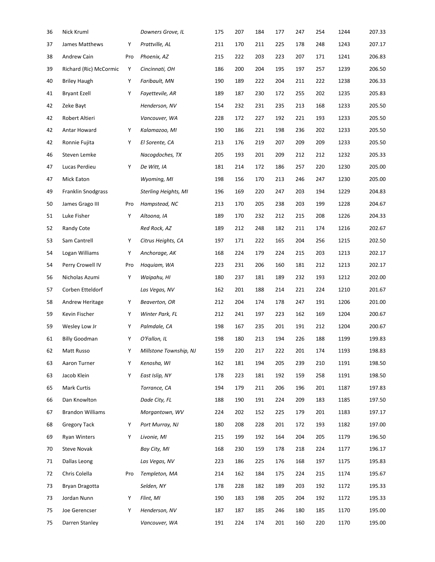| 36 | Nick Kruml              |     | Downers Grove, IL      | 175 | 207 | 184 | 177 | 247 | 254 | 1244 | 207.33 |
|----|-------------------------|-----|------------------------|-----|-----|-----|-----|-----|-----|------|--------|
| 37 | James Matthews          | Υ   | Prattville, AL         | 211 | 170 | 211 | 225 | 178 | 248 | 1243 | 207.17 |
| 38 | Andrew Cain             | Pro | Phoenix, AZ            | 215 | 222 | 203 | 223 | 207 | 171 | 1241 | 206.83 |
| 39 | Richard (Ric) McCormic  | Υ   | Cincinnati, OH         | 186 | 200 | 204 | 195 | 197 | 257 | 1239 | 206.50 |
| 40 | <b>Briley Haugh</b>     | Υ   | Faribault, MN          | 190 | 189 | 222 | 204 | 211 | 222 | 1238 | 206.33 |
| 41 | <b>Bryant Ezell</b>     | Υ   | Fayettevile, AR        | 189 | 187 | 230 | 172 | 255 | 202 | 1235 | 205.83 |
| 42 | Zeke Bayt               |     | Henderson, NV          | 154 | 232 | 231 | 235 | 213 | 168 | 1233 | 205.50 |
| 42 | Robert Altieri          |     | Vancouver, WA          | 228 | 172 | 227 | 192 | 221 | 193 | 1233 | 205.50 |
| 42 | Antar Howard            | Υ   | Kalamazoo, MI          | 190 | 186 | 221 | 198 | 236 | 202 | 1233 | 205.50 |
| 42 | Ronnie Fujita           | Υ   | El Sorente, CA         | 213 | 176 | 219 | 207 | 209 | 209 | 1233 | 205.50 |
| 46 | Steven Lemke            |     | Nacogdoches, TX        | 205 | 193 | 201 | 209 | 212 | 212 | 1232 | 205.33 |
| 47 | Lucas Perdieu           | Υ   | De Witt, IA            | 181 | 214 | 172 | 186 | 257 | 220 | 1230 | 205.00 |
| 47 | <b>Mick Eaton</b>       |     | Wyoming, MI            | 198 | 156 | 170 | 213 | 246 | 247 | 1230 | 205.00 |
| 49 | Franklin Snodgrass      |     | Sterling Heights, MI   | 196 | 169 | 220 | 247 | 203 | 194 | 1229 | 204.83 |
| 50 | James Grago III         | Pro | Hampstead, NC          | 213 | 170 | 205 | 238 | 203 | 199 | 1228 | 204.67 |
| 51 | Luke Fisher             | Υ   | Altoona, IA            | 189 | 170 | 232 | 212 | 215 | 208 | 1226 | 204.33 |
| 52 | Randy Cote              |     | Red Rock, AZ           | 189 | 212 | 248 | 182 | 211 | 174 | 1216 | 202.67 |
| 53 | Sam Cantrell            | Υ   | Citrus Heights, CA     | 197 | 171 | 222 | 165 | 204 | 256 | 1215 | 202.50 |
| 54 | Logan Williams          | Υ   | Anchorage, AK          | 168 | 224 | 179 | 224 | 215 | 203 | 1213 | 202.17 |
| 54 | Perry Crowell IV        | Pro | Hoquiam, WA            | 223 | 231 | 206 | 160 | 181 | 212 | 1213 | 202.17 |
| 56 | Nicholas Azumi          | Υ   | Waipahu, HI            | 180 | 237 | 181 | 189 | 232 | 193 | 1212 | 202.00 |
| 57 | Corben Etteldorf        |     | Las Vegas, NV          | 162 | 201 | 188 | 214 | 221 | 224 | 1210 | 201.67 |
| 58 | Andrew Heritage         | Υ   | Beaverton, OR          | 212 | 204 | 174 | 178 | 247 | 191 | 1206 | 201.00 |
| 59 | Kevin Fischer           | Υ   | Winter Park, FL        | 212 | 241 | 197 | 223 | 162 | 169 | 1204 | 200.67 |
| 59 | Wesley Low Jr           | Υ   | Palmdale, CA           | 198 | 167 | 235 | 201 | 191 | 212 | 1204 | 200.67 |
| 61 | <b>Billy Goodman</b>    | Υ   | O'Fallon, IL           | 198 | 180 | 213 | 194 | 226 | 188 | 1199 | 199.83 |
| 62 | Matt Russo              | Υ   | Millstone Township, NJ | 159 | 220 | 217 | 222 | 201 | 174 | 1193 | 198.83 |
| 63 | Aaron Turner            | Υ   | Kenosha, WI            | 162 | 181 | 194 | 205 | 239 | 210 | 1191 | 198.50 |
| 63 | Jacob Klein             | Υ   | East Islip, NY         | 178 | 223 | 181 | 192 | 159 | 258 | 1191 | 198.50 |
| 65 | <b>Mark Curtis</b>      |     | Torrance, CA           | 194 | 179 | 211 | 206 | 196 | 201 | 1187 | 197.83 |
| 66 | Dan Knowlton            |     | Dade City, FL          | 188 | 190 | 191 | 224 | 209 | 183 | 1185 | 197.50 |
| 67 | <b>Brandon Williams</b> |     | Morgantown, WV         | 224 | 202 | 152 | 225 | 179 | 201 | 1183 | 197.17 |
| 68 | <b>Gregory Tack</b>     | Υ   | Port Murray, NJ        | 180 | 208 | 228 | 201 | 172 | 193 | 1182 | 197.00 |
| 69 | <b>Ryan Winters</b>     | Υ   | Livonie, MI            | 215 | 199 | 192 | 164 | 204 | 205 | 1179 | 196.50 |
| 70 | <b>Steve Novak</b>      |     | Bay City, MI           | 168 | 230 | 159 | 178 | 218 | 224 | 1177 | 196.17 |
| 71 | Dallas Leong            |     | Las Vegas, NV          | 223 | 186 | 225 | 176 | 168 | 197 | 1175 | 195.83 |
| 72 | Chris Colella           | Pro | Templeton, MA          | 214 | 162 | 184 | 175 | 224 | 215 | 1174 | 195.67 |
| 73 | Bryan Dragotta          |     | Selden, NY             | 178 | 228 | 182 | 189 | 203 | 192 | 1172 | 195.33 |
| 73 | Jordan Nunn             | Υ   | Flint, MI              | 190 | 183 | 198 | 205 | 204 | 192 | 1172 | 195.33 |
| 75 | Joe Gerencser           | Υ   | Henderson, NV          | 187 | 187 | 185 | 246 | 180 | 185 | 1170 | 195.00 |
| 75 | Darren Stanley          |     | Vancouver, WA          | 191 | 224 | 174 | 201 | 160 | 220 | 1170 | 195.00 |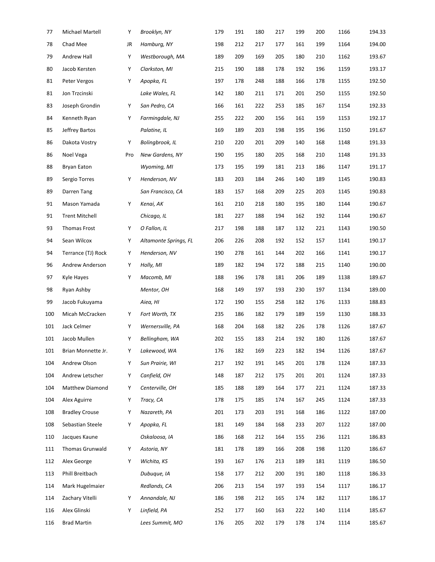| 77  | Michael Martell       | Υ   | Brooklyn, NY          | 179 | 191 | 180 | 217 | 199 | 200 | 1166 | 194.33 |
|-----|-----------------------|-----|-----------------------|-----|-----|-----|-----|-----|-----|------|--------|
| 78  | Chad Mee              | JR  | Hamburg, NY           | 198 | 212 | 217 | 177 | 161 | 199 | 1164 | 194.00 |
| 79  | Andrew Hall           | Υ   | Westborough, MA       | 189 | 209 | 169 | 205 | 180 | 210 | 1162 | 193.67 |
| 80  | Jacob Kersten         | Υ   | Clarkston, MI         | 215 | 190 | 188 | 178 | 192 | 196 | 1159 | 193.17 |
| 81  | Peter Vergos          | Υ   | Apopka, FL            | 197 | 178 | 248 | 188 | 166 | 178 | 1155 | 192.50 |
| 81  | Jon Trzcinski         |     | Lake Wales, FL        | 142 | 180 | 211 | 171 | 201 | 250 | 1155 | 192.50 |
| 83  | Joseph Grondin        | Υ   | San Pedro, CA         | 166 | 161 | 222 | 253 | 185 | 167 | 1154 | 192.33 |
| 84  | Kenneth Ryan          | Υ   | Farmingdale, NJ       | 255 | 222 | 200 | 156 | 161 | 159 | 1153 | 192.17 |
| 85  | Jeffrey Bartos        |     | Palatine, IL          | 169 | 189 | 203 | 198 | 195 | 196 | 1150 | 191.67 |
| 86  | Dakota Vostry         | Υ   | Bolingbrook, IL       | 210 | 220 | 201 | 209 | 140 | 168 | 1148 | 191.33 |
| 86  | Noel Vega             | Pro | New Gardens, NY       | 190 | 195 | 180 | 205 | 168 | 210 | 1148 | 191.33 |
| 88  | Bryan Eaton           |     | Wyoming, MI           | 173 | 195 | 199 | 181 | 213 | 186 | 1147 | 191.17 |
| 89  | Sergio Torres         | Υ   | Henderson, NV         | 183 | 203 | 184 | 246 | 140 | 189 | 1145 | 190.83 |
| 89  | Darren Tang           |     | San Francisco, CA     | 183 | 157 | 168 | 209 | 225 | 203 | 1145 | 190.83 |
| 91  | Mason Yamada          | Υ   | Kenai, AK             | 161 | 210 | 218 | 180 | 195 | 180 | 1144 | 190.67 |
| 91  | <b>Trent Mitchell</b> |     | Chicago, IL           | 181 | 227 | 188 | 194 | 162 | 192 | 1144 | 190.67 |
| 93  | <b>Thomas Frost</b>   | Υ   | O Fallon, IL          | 217 | 198 | 188 | 187 | 132 | 221 | 1143 | 190.50 |
| 94  | Sean Wilcox           | Υ   | Altamonte Springs, FL | 206 | 226 | 208 | 192 | 152 | 157 | 1141 | 190.17 |
| 94  | Terrance (TJ) Rock    | Υ   | Henderson, NV         | 190 | 278 | 161 | 144 | 202 | 166 | 1141 | 190.17 |
| 96  | Andrew Anderson       | Υ   | Holly, MI             | 189 | 182 | 194 | 172 | 188 | 215 | 1140 | 190.00 |
| 97  | Kyle Hayes            | Υ   | Macomb, MI            | 188 | 196 | 178 | 181 | 206 | 189 | 1138 | 189.67 |
| 98  | Ryan Ashby            |     | Mentor, OH            | 168 | 149 | 197 | 193 | 230 | 197 | 1134 | 189.00 |
| 99  | Jacob Fukuyama        |     | Aiea, HI              | 172 | 190 | 155 | 258 | 182 | 176 | 1133 | 188.83 |
| 100 | Micah McCracken       | Υ   | Fort Worth, TX        | 235 | 186 | 182 | 179 | 189 | 159 | 1130 | 188.33 |
| 101 | Jack Celmer           | Υ   | Wernersville, PA      | 168 | 204 | 168 | 182 | 226 | 178 | 1126 | 187.67 |
| 101 | Jacob Mullen          | Υ   | Bellingham, WA        | 202 | 155 | 183 | 214 | 192 | 180 | 1126 | 187.67 |
| 101 | Brian Monnette Jr.    | Υ   | Lakewood, WA          | 176 | 182 | 169 | 223 | 182 | 194 | 1126 | 187.67 |
| 104 | Andrew Olson          | Υ   | Sun Prairie, WI       | 217 | 192 | 191 | 145 | 201 | 178 | 1124 | 187.33 |
| 104 | Andrew Letscher       | Υ   | Canfield, OH          | 148 | 187 | 212 | 175 | 201 | 201 | 1124 | 187.33 |
| 104 | Matthew Diamond       | Υ   | Centerville, OH       | 185 | 188 | 189 | 164 | 177 | 221 | 1124 | 187.33 |
| 104 | Alex Aguirre          | Υ   | Tracy, CA             | 178 | 175 | 185 | 174 | 167 | 245 | 1124 | 187.33 |
| 108 | <b>Bradley Crouse</b> | Υ   | Nazareth, PA          | 201 | 173 | 203 | 191 | 168 | 186 | 1122 | 187.00 |
| 108 | Sebastian Steele      | Υ   | Apopka, FL            | 181 | 149 | 184 | 168 | 233 | 207 | 1122 | 187.00 |
| 110 | Jacques Kaune         |     | Oskaloosa, IA         | 186 | 168 | 212 | 164 | 155 | 236 | 1121 | 186.83 |
| 111 | Thomas Grunwald       | Υ   | Astoria, NY           | 181 | 178 | 189 | 166 | 208 | 198 | 1120 | 186.67 |
| 112 | Alex George           | Υ   | Wichita, KS           | 193 | 167 | 176 | 213 | 189 | 181 | 1119 | 186.50 |
| 113 | Phill Breitbach       |     | Dubuque, IA           | 158 | 177 | 212 | 200 | 191 | 180 | 1118 | 186.33 |
| 114 | Mark Hugelmaier       |     | Redlands, CA          | 206 | 213 | 154 | 197 | 193 | 154 | 1117 | 186.17 |
| 114 | Zachary Vitelli       | Υ   | Annandale, NJ         | 186 | 198 | 212 | 165 | 174 | 182 | 1117 | 186.17 |
| 116 | Alex Glinski          | Υ   | Linfield, PA          | 252 | 177 | 160 | 163 | 222 | 140 | 1114 | 185.67 |
| 116 | <b>Brad Martin</b>    |     | Lees Summit, MO       | 176 | 205 | 202 | 179 | 178 | 174 | 1114 | 185.67 |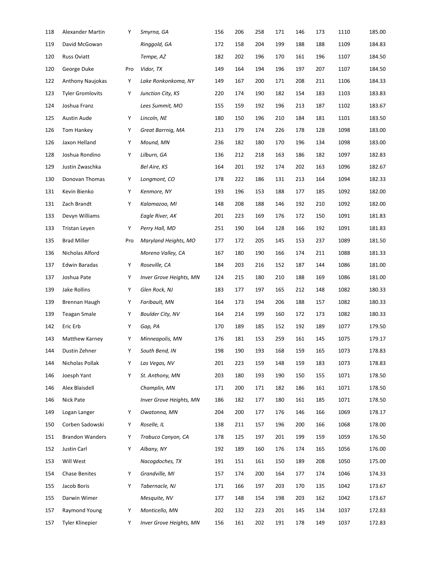| 118 | Alexander Martin        | Υ   | Smyrna, GA                     | 156 | 206 | 258 | 171 | 146 | 173 | 1110 | 185.00 |
|-----|-------------------------|-----|--------------------------------|-----|-----|-----|-----|-----|-----|------|--------|
| 119 | David McGowan           |     | Ringgold, GA                   | 172 | 158 | 204 | 199 | 188 | 188 | 1109 | 184.83 |
| 120 | <b>Russ Oviatt</b>      |     | Tempe, AZ                      | 182 | 202 | 196 | 170 | 161 | 196 | 1107 | 184.50 |
| 120 | George Duke             | Pro | Vidor, TX                      | 149 | 164 | 194 | 196 | 197 | 207 | 1107 | 184.50 |
| 122 | Anthony Naujokas        | Υ   | Lake Ronkonkoma, NY            | 149 | 167 | 200 | 171 | 208 | 211 | 1106 | 184.33 |
| 123 | <b>Tyler Gromlovits</b> | Υ   | Junction City, KS              | 220 | 174 | 190 | 182 | 154 | 183 | 1103 | 183.83 |
| 124 | Joshua Franz            |     | Lees Summit, MO                | 155 | 159 | 192 | 196 | 213 | 187 | 1102 | 183.67 |
| 125 | Austin Aude             | Υ   | Lincoln, NE                    | 180 | 150 | 196 | 210 | 184 | 181 | 1101 | 183.50 |
| 126 | Tom Hankey              | Y   | Great Barrnig, MA              | 213 | 179 | 174 | 226 | 178 | 128 | 1098 | 183.00 |
| 126 | Jaxon Helland           | Υ   | Mound, MN                      | 236 | 182 | 180 | 170 | 196 | 134 | 1098 | 183.00 |
| 128 | Joshua Rondino          | Υ   | Lilburn, GA                    | 136 | 212 | 218 | 163 | 186 | 182 | 1097 | 182.83 |
| 129 | Justin Zwaschka         |     | Bel Aire, KS                   | 164 | 201 | 192 | 174 | 202 | 163 | 1096 | 182.67 |
| 130 | Donovan Thomas          | Υ   | Longmont, CO                   | 178 | 222 | 186 | 131 | 213 | 164 | 1094 | 182.33 |
| 131 | Kevin Bienko            | Υ   | Kenmore, NY                    | 193 | 196 | 153 | 188 | 177 | 185 | 1092 | 182.00 |
| 131 | Zach Brandt             | Υ   | Kalamazoo, MI                  | 148 | 208 | 188 | 146 | 192 | 210 | 1092 | 182.00 |
| 133 | Devyn Williams          |     | Eagle River, AK                | 201 | 223 | 169 | 176 | 172 | 150 | 1091 | 181.83 |
| 133 | Tristan Leyen           | Y   | Perry Hall, MD                 | 251 | 190 | 164 | 128 | 166 | 192 | 1091 | 181.83 |
| 135 | <b>Brad Miller</b>      | Pro | Maryland Heights, MO           | 177 | 172 | 205 | 145 | 153 | 237 | 1089 | 181.50 |
| 136 | Nicholas Alford         |     | Moreno Valley, CA              | 167 | 180 | 190 | 166 | 174 | 211 | 1088 | 181.33 |
| 137 | Edwin Baradas           | Y   | Roseville, CA                  | 184 | 203 | 216 | 152 | 187 | 144 | 1086 | 181.00 |
| 137 | Joshua Pate             | Υ   | Inver Grove Heights, MN        | 124 | 215 | 180 | 210 | 188 | 169 | 1086 | 181.00 |
| 139 | Jake Rollins            | Υ   | Glen Rock, NJ                  | 183 | 177 | 197 | 165 | 212 | 148 | 1082 | 180.33 |
| 139 | Brennan Haugh           | Υ   | Faribault, MN                  | 164 | 173 | 194 | 206 | 188 | 157 | 1082 | 180.33 |
| 139 | <b>Teagan Smale</b>     | Υ   | <b>Boulder City, NV</b>        | 164 | 214 | 199 | 160 | 172 | 173 | 1082 | 180.33 |
| 142 | Eric Erb                | Υ   | Gap, PA                        | 170 | 189 | 185 | 152 | 192 | 189 | 1077 | 179.50 |
| 143 | Matthew Karney          | Υ   | Minneapolis, MN                | 176 | 181 | 153 | 259 | 161 | 145 | 1075 | 179.17 |
| 144 | Dustin Zehner           | Υ   | South Bend, IN                 | 198 | 190 | 193 | 168 | 159 | 165 | 1073 | 178.83 |
| 144 | Nicholas Pollak         | Υ   | Las Vegas, NV                  | 201 | 223 | 159 | 148 | 159 | 183 | 1073 | 178.83 |
| 146 | Joesph Yant             | Υ   | St. Anthony, MN                | 203 | 180 | 193 | 190 | 150 | 155 | 1071 | 178.50 |
| 146 | Alex Blaisdell          |     | Champlin, MN                   | 171 | 200 | 171 | 182 | 186 | 161 | 1071 | 178.50 |
| 146 | Nick Pate               |     | <b>Inver Grove Heights, MN</b> | 186 | 182 | 177 | 180 | 161 | 185 | 1071 | 178.50 |
| 149 | Logan Langer            | Y   | Owatonna, MN                   | 204 | 200 | 177 | 176 | 146 | 166 | 1069 | 178.17 |
| 150 | Corben Sadowski         | Y   | Roselle, IL                    | 138 | 211 | 157 | 196 | 200 | 166 | 1068 | 178.00 |
| 151 | <b>Brandon Wanders</b>  | Υ   | Trabuco Canyon, CA             | 178 | 125 | 197 | 201 | 199 | 159 | 1059 | 176.50 |
| 152 | Justin Carl             | Υ   | Albany, NY                     | 192 | 189 | 160 | 176 | 174 | 165 | 1056 | 176.00 |
| 153 | Will West               |     | Nacogdoches, TX                | 191 | 151 | 161 | 150 | 189 | 208 | 1050 | 175.00 |
| 154 | Chase Benites           | Υ   | Grandville, MI                 | 157 | 174 | 200 | 164 | 177 | 174 | 1046 | 174.33 |
| 155 | Jacob Boris             | Υ   | Tabernacle, NJ                 | 171 | 166 | 197 | 203 | 170 | 135 | 1042 | 173.67 |
| 155 | Darwin Wimer            |     | Mesquite, NV                   | 177 | 148 | 154 | 198 | 203 | 162 | 1042 | 173.67 |
| 157 | Raymond Young           | Υ   | Monticello, MN                 | 202 | 132 | 223 | 201 | 145 | 134 | 1037 | 172.83 |
| 157 | <b>Tyler Klinepier</b>  | Y   | Inver Grove Heights, MN        | 156 | 161 | 202 | 191 | 178 | 149 | 1037 | 172.83 |